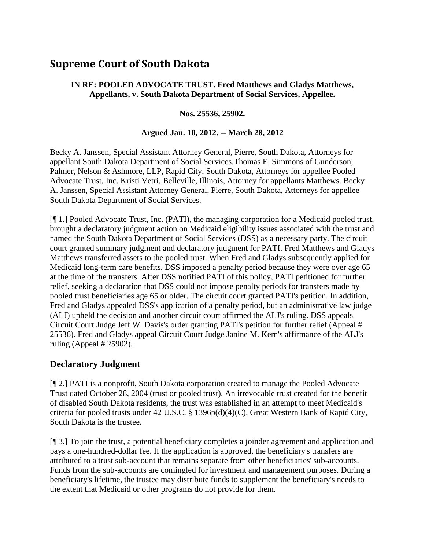# **Supreme Court of South Dakota**

#### **IN RE: POOLED ADVOCATE TRUST. Fred Matthews and Gladys Matthews, Appellants, v. South Dakota Department of Social Services, Appellee.**

#### **Nos. 25536, 25902.**

#### **Argued Jan. 10, 2012. -- March 28, 2012**

Becky A. Janssen, Special Assistant Attorney General, Pierre, South Dakota, Attorneys for appellant South Dakota Department of Social Services.Thomas E. Simmons of Gunderson, Palmer, Nelson & Ashmore, LLP, Rapid City, South Dakota, Attorneys for appellee Pooled Advocate Trust, Inc. Kristi Vetri, Belleville, Illinois, Attorney for appellants Matthews. Becky A. Janssen, Special Assistant Attorney General, Pierre, South Dakota, Attorneys for appellee South Dakota Department of Social Services.

[¶ 1.] Pooled Advocate Trust, Inc. (PATI), the managing corporation for a Medicaid pooled trust, brought a declaratory judgment action on Medicaid eligibility issues associated with the trust and named the South Dakota Department of Social Services (DSS) as a necessary party. The circuit court granted summary judgment and declaratory judgment for PATI. Fred Matthews and Gladys Matthews transferred assets to the pooled trust. When Fred and Gladys subsequently applied for Medicaid long-term care benefits, DSS imposed a penalty period because they were over age 65 at the time of the transfers. After DSS notified PATI of this policy, PATI petitioned for further relief, seeking a declaration that DSS could not impose penalty periods for transfers made by pooled trust beneficiaries age 65 or older. The circuit court granted PATI's petition. In addition, Fred and Gladys appealed DSS's application of a penalty period, but an administrative law judge (ALJ) upheld the decision and another circuit court affirmed the ALJ's ruling. DSS appeals Circuit Court Judge Jeff W. Davis's order granting PATI's petition for further relief (Appeal # 25536). Fred and Gladys appeal Circuit Court Judge Janine M. Kern's affirmance of the ALJ's ruling (Appeal # 25902).

#### **Declaratory Judgment**

[¶ 2.] PATI is a nonprofit, South Dakota corporation created to manage the Pooled Advocate Trust dated October 28, 2004 (trust or pooled trust). An irrevocable trust created for the benefit of disabled South Dakota residents, the trust was established in an attempt to meet Medicaid's criteria for pooled trusts under 42 U.S.C. § 1396p(d)(4)(C). Great Western Bank of Rapid City, South Dakota is the trustee.

[¶ 3.] To join the trust, a potential beneficiary completes a joinder agreement and application and pays a one-hundred-dollar fee. If the application is approved, the beneficiary's transfers are attributed to a trust sub-account that remains separate from other beneficiaries' sub-accounts. Funds from the sub-accounts are comingled for investment and management purposes. During a beneficiary's lifetime, the trustee may distribute funds to supplement the beneficiary's needs to the extent that Medicaid or other programs do not provide for them.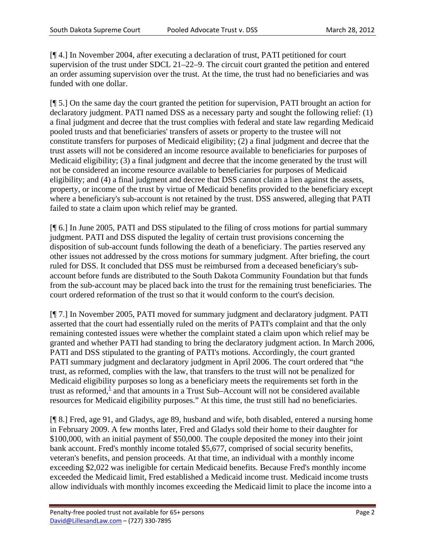[¶ 4.] In November 2004, after executing a declaration of trust, PATI petitioned for court supervision of the trust under SDCL 21–22–9. The circuit court granted the petition and entered an order assuming supervision over the trust. At the time, the trust had no beneficiaries and was funded with one dollar.

[¶ 5.] On the same day the court granted the petition for supervision, PATI brought an action for declaratory judgment. PATI named DSS as a necessary party and sought the following relief: (1) a final judgment and decree that the trust complies with federal and state law regarding Medicaid pooled trusts and that beneficiaries' transfers of assets or property to the trustee will not constitute transfers for purposes of Medicaid eligibility; (2) a final judgment and decree that the trust assets will not be considered an income resource available to beneficiaries for purposes of Medicaid eligibility; (3) a final judgment and decree that the income generated by the trust will not be considered an income resource available to beneficiaries for purposes of Medicaid eligibility; and (4) a final judgment and decree that DSS cannot claim a lien against the assets, property, or income of the trust by virtue of Medicaid benefits provided to the beneficiary except where a beneficiary's sub-account is not retained by the trust. DSS answered, alleging that PATI failed to state a claim upon which relief may be granted.

[¶ 6.] In June 2005, PATI and DSS stipulated to the filing of cross motions for partial summary judgment. PATI and DSS disputed the legality of certain trust provisions concerning the disposition of sub-account funds following the death of a beneficiary. The parties reserved any other issues not addressed by the cross motions for summary judgment. After briefing, the court ruled for DSS. It concluded that DSS must be reimbursed from a deceased beneficiary's subaccount before funds are distributed to the South Dakota Community Foundation but that funds from the sub-account may be placed back into the trust for the remaining trust beneficiaries. The court ordered reformation of the trust so that it would conform to the court's decision.

[¶ 7.] In November 2005, PATI moved for summary judgment and declaratory judgment. PATI asserted that the court had essentially ruled on the merits of PATI's complaint and that the only remaining contested issues were whether the complaint stated a claim upon which relief may be granted and whether PATI had standing to bring the declaratory judgment action. In March 2006, PATI and DSS stipulated to the granting of PATI's motions. Accordingly, the court granted PATI summary judgment and declaratory judgment in April 2006. The court ordered that "the trust, as reformed, complies with the law, that transfers to the trust will not be penalized for Medicaid eligibility purposes so long as a beneficiary meets the requirements set forth in the trust as reformed, $\frac{1}{2}$  and that amounts in a Trust Sub–Account will not be considered available resources for Medicaid eligibility purposes." At this time, the trust still had no beneficiaries.

[¶ 8.] Fred, age 91, and Gladys, age 89, husband and wife, both disabled, entered a nursing home in February 2009. A few months later, Fred and Gladys sold their home to their daughter for \$100,000, with an initial payment of \$50,000. The couple deposited the money into their joint bank account. Fred's monthly income totaled \$5,677, comprised of social security benefits, veteran's benefits, and pension proceeds. At that time, an individual with a monthly income exceeding \$2,022 was ineligible for certain Medicaid benefits. Because Fred's monthly income exceeded the Medicaid limit, Fred established a Medicaid income trust. Medicaid income trusts allow individuals with monthly incomes exceeding the Medicaid limit to place the income into a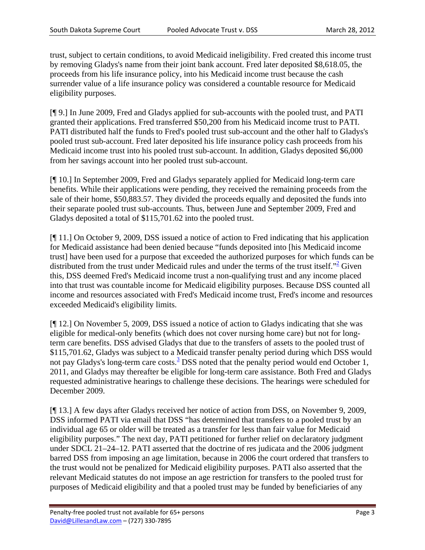trust, subject to certain conditions, to avoid Medicaid ineligibility. Fred created this income trust by removing Gladys's name from their joint bank account. Fred later deposited \$8,618.05, the proceeds from his life insurance policy, into his Medicaid income trust because the cash surrender value of a life insurance policy was considered a countable resource for Medicaid eligibility purposes.

[¶ 9.] In June 2009, Fred and Gladys applied for sub-accounts with the pooled trust, and PATI granted their applications. Fred transferred \$50,200 from his Medicaid income trust to PATI. PATI distributed half the funds to Fred's pooled trust sub-account and the other half to Gladys's pooled trust sub-account. Fred later deposited his life insurance policy cash proceeds from his Medicaid income trust into his pooled trust sub-account. In addition, Gladys deposited \$6,000 from her savings account into her pooled trust sub-account.

[¶ 10.] In September 2009, Fred and Gladys separately applied for Medicaid long-term care benefits. While their applications were pending, they received the remaining proceeds from the sale of their home, \$50,883.57. They divided the proceeds equally and deposited the funds into their separate pooled trust sub-accounts. Thus, between June and September 2009, Fred and Gladys deposited a total of \$115,701.62 into the pooled trust.

[¶ 11.] On October 9, 2009, DSS issued a notice of action to Fred indicating that his application for Medicaid assistance had been denied because "funds deposited into [his Medicaid income trust] have been used for a purpose that exceeded the authorized purposes for which funds can be distributed from the trust under Medicaid rules and under the terms of the trust itself."<sup>2</sup> Given this, DSS deemed Fred's Medicaid income trust a non-qualifying trust and any income placed into that trust was countable income for Medicaid eligibility purposes. Because DSS counted all income and resources associated with Fred's Medicaid income trust, Fred's income and resources exceeded Medicaid's eligibility limits.

[¶ 12.] On November 5, 2009, DSS issued a notice of action to Gladys indicating that she was eligible for medical-only benefits (which does not cover nursing home care) but not for longterm care benefits. DSS advised Gladys that due to the transfers of assets to the pooled trust of \$115,701.62, Gladys was subject to a Medicaid transfer penalty period during which DSS would not pay Gladys's long-term care costs.<sup>3</sup> DSS noted that the penalty period would end October 1, 2011, and Gladys may thereafter be eligible for long-term care assistance. Both Fred and Gladys requested administrative hearings to challenge these decisions. The hearings were scheduled for December 2009.

[¶ 13.] A few days after Gladys received her notice of action from DSS, on November 9, 2009, DSS informed PATI via email that DSS "has determined that transfers to a pooled trust by an individual age 65 or older will be treated as a transfer for less than fair value for Medicaid eligibility purposes." The next day, PATI petitioned for further relief on declaratory judgment under SDCL 21–24–12. PATI asserted that the doctrine of res judicata and the 2006 judgment barred DSS from imposing an age limitation, because in 2006 the court ordered that transfers to the trust would not be penalized for Medicaid eligibility purposes. PATI also asserted that the relevant Medicaid statutes do not impose an age restriction for transfers to the pooled trust for purposes of Medicaid eligibility and that a pooled trust may be funded by beneficiaries of any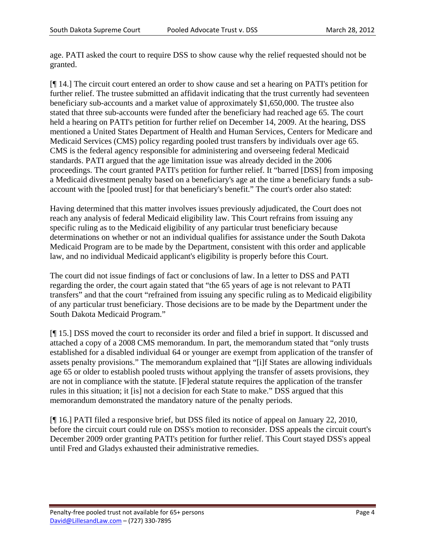age. PATI asked the court to require DSS to show cause why the relief requested should not be granted.

[¶ 14.] The circuit court entered an order to show cause and set a hearing on PATI's petition for further relief. The trustee submitted an affidavit indicating that the trust currently had seventeen beneficiary sub-accounts and a market value of approximately \$1,650,000. The trustee also stated that three sub-accounts were funded after the beneficiary had reached age 65. The court held a hearing on PATI's petition for further relief on December 14, 2009. At the hearing, DSS mentioned a United States Department of Health and Human Services, Centers for Medicare and Medicaid Services (CMS) policy regarding pooled trust transfers by individuals over age 65. CMS is the federal agency responsible for administering and overseeing federal Medicaid standards. PATI argued that the age limitation issue was already decided in the 2006 proceedings. The court granted PATI's petition for further relief. It "barred [DSS] from imposing a Medicaid divestment penalty based on a beneficiary's age at the time a beneficiary funds a subaccount with the [pooled trust] for that beneficiary's benefit." The court's order also stated:

Having determined that this matter involves issues previously adjudicated, the Court does not reach any analysis of federal Medicaid eligibility law. This Court refrains from issuing any specific ruling as to the Medicaid eligibility of any particular trust beneficiary because determinations on whether or not an individual qualifies for assistance under the South Dakota Medicaid Program are to be made by the Department, consistent with this order and applicable law, and no individual Medicaid applicant's eligibility is properly before this Court.

The court did not issue findings of fact or conclusions of law. In a letter to DSS and PATI regarding the order, the court again stated that "the 65 years of age is not relevant to PATI transfers" and that the court "refrained from issuing any specific ruling as to Medicaid eligibility of any particular trust beneficiary. Those decisions are to be made by the Department under the South Dakota Medicaid Program."

[¶ 15.] DSS moved the court to reconsider its order and filed a brief in support. It discussed and attached a copy of a 2008 CMS memorandum. In part, the memorandum stated that "only trusts established for a disabled individual 64 or younger are exempt from application of the transfer of assets penalty provisions." The memorandum explained that "[i]f States are allowing individuals age 65 or older to establish pooled trusts without applying the transfer of assets provisions, they are not in compliance with the statute. [F]ederal statute requires the application of the transfer rules in this situation; it [is] not a decision for each State to make." DSS argued that this memorandum demonstrated the mandatory nature of the penalty periods.

[¶ 16.] PATI filed a responsive brief, but DSS filed its notice of appeal on January 22, 2010, before the circuit court could rule on DSS's motion to reconsider. DSS appeals the circuit court's December 2009 order granting PATI's petition for further relief. This Court stayed DSS's appeal until Fred and Gladys exhausted their administrative remedies.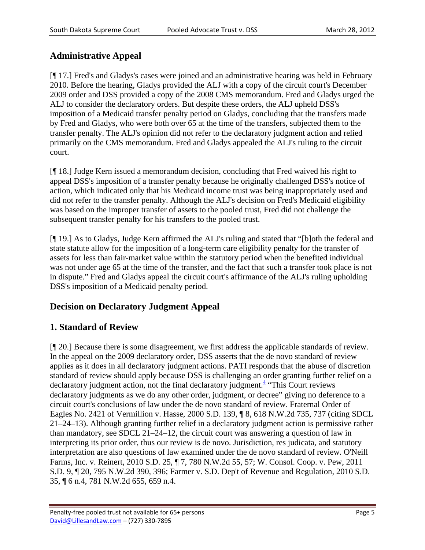## **Administrative Appeal**

[¶ 17.] Fred's and Gladys's cases were joined and an administrative hearing was held in February 2010. Before the hearing, Gladys provided the ALJ with a copy of the circuit court's December 2009 order and DSS provided a copy of the 2008 CMS memorandum. Fred and Gladys urged the ALJ to consider the declaratory orders. But despite these orders, the ALJ upheld DSS's imposition of a Medicaid transfer penalty period on Gladys, concluding that the transfers made by Fred and Gladys, who were both over 65 at the time of the transfers, subjected them to the transfer penalty. The ALJ's opinion did not refer to the declaratory judgment action and relied primarily on the CMS memorandum. Fred and Gladys appealed the ALJ's ruling to the circuit court.

[¶ 18.] Judge Kern issued a memorandum decision, concluding that Fred waived his right to appeal DSS's imposition of a transfer penalty because he originally challenged DSS's notice of action, which indicated only that his Medicaid income trust was being inappropriately used and did not refer to the transfer penalty. Although the ALJ's decision on Fred's Medicaid eligibility was based on the improper transfer of assets to the pooled trust, Fred did not challenge the subsequent transfer penalty for his transfers to the pooled trust.

[¶ 19.] As to Gladys, Judge Kern affirmed the ALJ's ruling and stated that "[b]oth the federal and state statute allow for the imposition of a long-term care eligibility penalty for the transfer of assets for less than fair-market value within the statutory period when the benefited individual was not under age 65 at the time of the transfer, and the fact that such a transfer took place is not in dispute." Fred and Gladys appeal the circuit court's affirmance of the ALJ's ruling upholding DSS's imposition of a Medicaid penalty period.

## **Decision on Declaratory Judgment Appeal**

### **1. Standard of Review**

[¶ 20.] Because there is some disagreement, we first address the applicable standards of review. In the appeal on the 2009 declaratory order, DSS asserts that the de novo standard of review applies as it does in all declaratory judgment actions. PATI responds that the abuse of discretion standard of review should apply because DSS is challenging an order granting further relief on a declaratory judgment action, not the final declaratory judgment.<sup>4</sup> "This Court reviews declaratory judgments as we do any other order, judgment, or decree" giving no deference to a circuit court's conclusions of law under the de novo standard of review. Fraternal Order of Eagles No. 2421 of Vermillion v. Hasse, 2000 S.D. 139, ¶ 8, 618 N.W.2d 735, 737 (citing SDCL 21–24–13). Although granting further relief in a declaratory judgment action is permissive rather than mandatory, see SDCL  $21-24-12$ , the circuit court was answering a question of law in interpreting its prior order, thus our review is de novo. Jurisdiction, res judicata, and statutory interpretation are also questions of law examined under the de novo standard of review. O'Neill Farms, Inc. v. Reinert, 2010 S.D. 25, ¶ 7, 780 N.W.2d 55, 57; W. Consol. Coop. v. Pew, 2011 S.D. 9, ¶ 20, 795 N.W.2d 390, 396; Farmer v. S.D. Dep't of Revenue and Regulation, 2010 S.D. 35, ¶ 6 n.4, 781 N.W.2d 655, 659 n.4.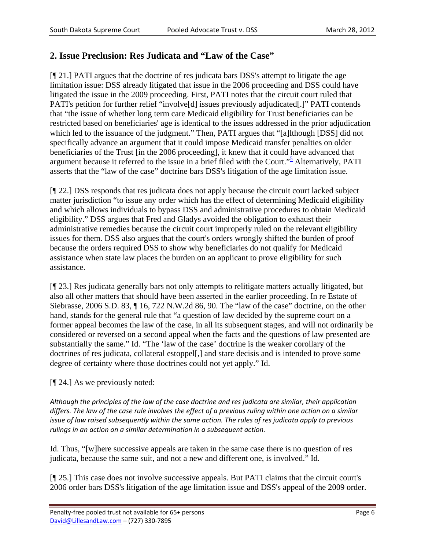#### **2. Issue Preclusion: Res Judicata and "Law of the Case"**

[¶ 21.] PATI argues that the doctrine of res judicata bars DSS's attempt to litigate the age limitation issue: DSS already litigated that issue in the 2006 proceeding and DSS could have litigated the issue in the 2009 proceeding. First, PATI notes that the circuit court ruled that PATI's petition for further relief "involve<sup>[d]</sup> issues previously adjudicated<sup>[1]</sup> PATI contends that "the issue of whether long term care Medicaid eligibility for Trust beneficiaries can be restricted based on beneficiaries' age is identical to the issues addressed in the prior adjudication which led to the issuance of the judgment." Then, PATI argues that "[a]lthough [DSS] did not specifically advance an argument that it could impose Medicaid transfer penalties on older beneficiaries of the Trust [in the 2006 proceeding], it knew that it could have advanced that argument because it referred to the issue in a brief filed with the Court."<sup>5</sup> Alternatively, PATI asserts that the "law of the case" doctrine bars DSS's litigation of the age limitation issue.

[¶ 22.] DSS responds that res judicata does not apply because the circuit court lacked subject matter jurisdiction "to issue any order which has the effect of determining Medicaid eligibility and which allows individuals to bypass DSS and administrative procedures to obtain Medicaid eligibility." DSS argues that Fred and Gladys avoided the obligation to exhaust their administrative remedies because the circuit court improperly ruled on the relevant eligibility issues for them. DSS also argues that the court's orders wrongly shifted the burden of proof because the orders required DSS to show why beneficiaries do not qualify for Medicaid assistance when state law places the burden on an applicant to prove eligibility for such assistance.

[¶ 23.] Res judicata generally bars not only attempts to relitigate matters actually litigated, but also all other matters that should have been asserted in the earlier proceeding. In re Estate of Siebrasse, 2006 S.D. 83, ¶ 16, 722 N.W.2d 86, 90. The "law of the case" doctrine, on the other hand, stands for the general rule that "a question of law decided by the supreme court on a former appeal becomes the law of the case, in all its subsequent stages, and will not ordinarily be considered or reversed on a second appeal when the facts and the questions of law presented are substantially the same." Id. "The 'law of the case' doctrine is the weaker corollary of the doctrines of res judicata, collateral estoppel[,] and stare decisis and is intended to prove some degree of certainty where those doctrines could not yet apply." Id.

[¶ 24.] As we previously noted:

*Although the principles of the law of the case doctrine and res judicata are similar, their application* differs. The law of the case rule involves the effect of a previous ruling within one action on a similar *issue of law raised subsequently within the same action. The rules of res judicata apply to previous rulings in an action on a similar determination in a subsequent action.*

Id. Thus, "[w]here successive appeals are taken in the same case there is no question of res judicata, because the same suit, and not a new and different one, is involved." Id.

[¶ 25.] This case does not involve successive appeals. But PATI claims that the circuit court's 2006 order bars DSS's litigation of the age limitation issue and DSS's appeal of the 2009 order.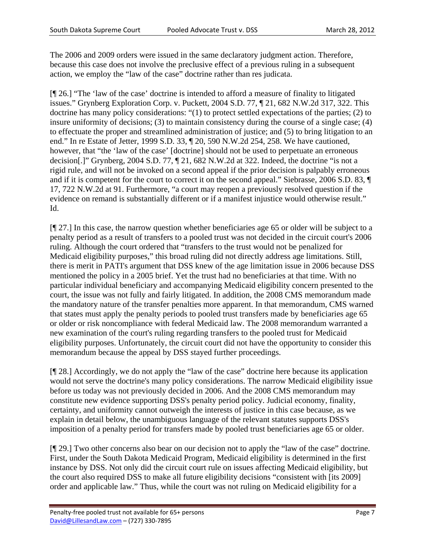The 2006 and 2009 orders were issued in the same declaratory judgment action. Therefore, because this case does not involve the preclusive effect of a previous ruling in a subsequent action, we employ the "law of the case" doctrine rather than res judicata.

[¶ 26.] "The 'law of the case' doctrine is intended to afford a measure of finality to litigated issues." Grynberg Exploration Corp. v. Puckett, 2004 S.D. 77, ¶ 21, 682 N.W.2d 317, 322. This doctrine has many policy considerations: "(1) to protect settled expectations of the parties; (2) to insure uniformity of decisions; (3) to maintain consistency during the course of a single case; (4) to effectuate the proper and streamlined administration of justice; and (5) to bring litigation to an end." In re Estate of Jetter, 1999 S.D. 33, ¶ 20, 590 N.W.2d 254, 258. We have cautioned, however, that "the 'law of the case' [doctrine] should not be used to perpetuate an erroneous decision[.]" Grynberg, 2004 S.D. 77, ¶ 21, 682 N.W.2d at 322. Indeed, the doctrine "is not a rigid rule, and will not be invoked on a second appeal if the prior decision is palpably erroneous and if it is competent for the court to correct it on the second appeal." Siebrasse, 2006 S.D. 83, ¶ 17, 722 N.W.2d at 91. Furthermore, "a court may reopen a previously resolved question if the evidence on remand is substantially different or if a manifest injustice would otherwise result." Id.

[¶ 27.] In this case, the narrow question whether beneficiaries age 65 or older will be subject to a penalty period as a result of transfers to a pooled trust was not decided in the circuit court's 2006 ruling. Although the court ordered that "transfers to the trust would not be penalized for Medicaid eligibility purposes," this broad ruling did not directly address age limitations. Still, there is merit in PATI's argument that DSS knew of the age limitation issue in 2006 because DSS mentioned the policy in a 2005 brief. Yet the trust had no beneficiaries at that time. With no particular individual beneficiary and accompanying Medicaid eligibility concern presented to the court, the issue was not fully and fairly litigated. In addition, the 2008 CMS memorandum made the mandatory nature of the transfer penalties more apparent. In that memorandum, CMS warned that states must apply the penalty periods to pooled trust transfers made by beneficiaries age 65 or older or risk noncompliance with federal Medicaid law. The 2008 memorandum warranted a new examination of the court's ruling regarding transfers to the pooled trust for Medicaid eligibility purposes. Unfortunately, the circuit court did not have the opportunity to consider this memorandum because the appeal by DSS stayed further proceedings.

[¶ 28.] Accordingly, we do not apply the "law of the case" doctrine here because its application would not serve the doctrine's many policy considerations. The narrow Medicaid eligibility issue before us today was not previously decided in 2006. And the 2008 CMS memorandum may constitute new evidence supporting DSS's penalty period policy. Judicial economy, finality, certainty, and uniformity cannot outweigh the interests of justice in this case because, as we explain in detail below, the unambiguous language of the relevant statutes supports DSS's imposition of a penalty period for transfers made by pooled trust beneficiaries age 65 or older.

[¶ 29.] Two other concerns also bear on our decision not to apply the "law of the case" doctrine. First, under the South Dakota Medicaid Program, Medicaid eligibility is determined in the first instance by DSS. Not only did the circuit court rule on issues affecting Medicaid eligibility, but the court also required DSS to make all future eligibility decisions "consistent with [its 2009] order and applicable law." Thus, while the court was not ruling on Medicaid eligibility for a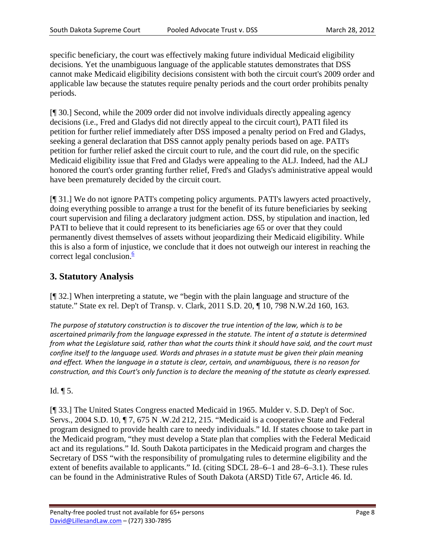specific beneficiary, the court was effectively making future individual Medicaid eligibility decisions. Yet the unambiguous language of the applicable statutes demonstrates that DSS cannot make Medicaid eligibility decisions consistent with both the circuit court's 2009 order and applicable law because the statutes require penalty periods and the court order prohibits penalty periods.

[¶ 30.] Second, while the 2009 order did not involve individuals directly appealing agency decisions (i.e., Fred and Gladys did not directly appeal to the circuit court), PATI filed its petition for further relief immediately after DSS imposed a penalty period on Fred and Gladys, seeking a general declaration that DSS cannot apply penalty periods based on age. PATI's petition for further relief asked the circuit court to rule, and the court did rule, on the specific Medicaid eligibility issue that Fred and Gladys were appealing to the ALJ. Indeed, had the ALJ honored the court's order granting further relief, Fred's and Gladys's administrative appeal would have been prematurely decided by the circuit court.

[¶ 31.] We do not ignore PATI's competing policy arguments. PATI's lawyers acted proactively, doing everything possible to arrange a trust for the benefit of its future beneficiaries by seeking court supervision and filing a declaratory judgment action. DSS, by stipulation and inaction, led PATI to believe that it could represent to its beneficiaries age 65 or over that they could permanently divest themselves of assets without jeopardizing their Medicaid eligibility. While this is also a form of injustice, we conclude that it does not outweigh our interest in reaching the correct legal conclusion. $\frac{6}{6}$ 

### **3. Statutory Analysis**

[¶ 32.] When interpreting a statute, we "begin with the plain language and structure of the statute." State ex rel. Dep't of Transp. v. Clark, 2011 S.D. 20, ¶ 10, 798 N.W.2d 160, 163.

*The purpose of statutory construction is to discover the true intention of the law, which is to be ascertained primarily from the language expressed in the statute. The intent of a statute is determined* from what the Legislature said, rather than what the courts think it should have said, and the court must confine itself to the language used. Words and phrases in a statute must be given their plain meaning and effect. When the language in a statute is clear, certain, and unambiguous, there is no reason for construction, and this Court's only function is to declare the meaning of the statute as clearly expressed.

#### Id. ¶ 5.

[¶ 33.] The United States Congress enacted Medicaid in 1965. Mulder v. S.D. Dep't of Soc. Servs., 2004 S.D. 10, ¶ 7, 675 N .W.2d 212, 215. "Medicaid is a cooperative State and Federal program designed to provide health care to needy individuals." Id. If states choose to take part in the Medicaid program, "they must develop a State plan that complies with the Federal Medicaid act and its regulations." Id. South Dakota participates in the Medicaid program and charges the Secretary of DSS "with the responsibility of promulgating rules to determine eligibility and the extent of benefits available to applicants." Id. (citing SDCL 28–6–1 and 28–6–3.1). These rules can be found in the Administrative Rules of South Dakota (ARSD) Title 67, Article 46. Id.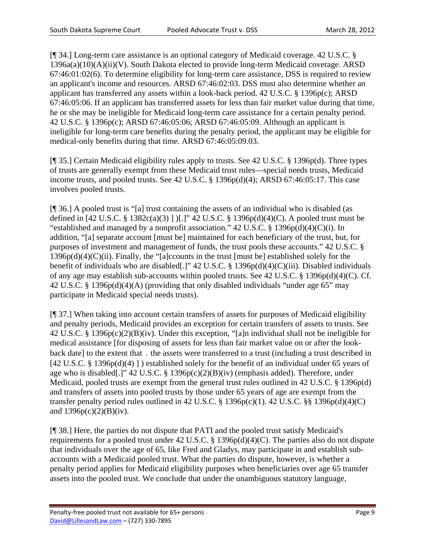[¶ 34.] Long-term care assistance is an optional category of Medicaid coverage. 42 U.S.C. § 1396a(a)(10)(A)(ii)(V). South Dakota elected to provide long-term Medicaid coverage. ARSD 67:46:01:02(6). To determine eligibility for long-term care assistance, DSS is required to review an applicant's income and resources. ARSD 67:46:02:03. DSS must also determine whether an applicant has transferred any assets within a look-back period. 42 U.S.C. § 1396p(c); ARSD 67:46:05:06. If an applicant has transferred assets for less than fair market value during that time, he or she may be ineligible for Medicaid long-term care assistance for a certain penalty period. 42 U.S.C. § 1396p(c); ARSD 67:46:05:06; ARSD 67:46:05:09. Although an applicant is ineligible for long-term care benefits during the penalty period, the applicant may be eligible for medical-only benefits during that time. ARSD 67:46:05:09.03.

[¶ 35.] Certain Medicaid eligibility rules apply to trusts. See 42 U.S.C. § 1396p(d). Three types of trusts are generally exempt from these Medicaid trust rules—special needs trusts, Medicaid income trusts, and pooled trusts. See 42 U.S.C. § 1396p(d)(4); ARSD 67:46:05:17. This case involves pooled trusts.

[¶ 36.] A pooled trust is "[a] trust containing the assets of an individual who is disabled (as defined in [42 U.S.C. § 1382c(a)(3) ] )[.]" 42 U.S.C. § 1396p(d)(4)(C). A pooled trust must be "established and managed by a nonprofit association."  $42$  U.S.C. § 1396p(d)(4)(C)(i). In addition, "[a] separate account [must be] maintained for each beneficiary of the trust, but, for purposes of investment and management of funds, the trust pools these accounts." 42 U.S.C. §  $1396p(d)(4)(C)(ii)$ . Finally, the "[a]ccounts in the trust [must be] established solely for the benefit of individuals who are disabled[.]" 42 U.S.C. § 1396p(d)(4)(C)(iii). Disabled individuals of any age may establish sub-accounts within pooled trusts. See 42 U.S.C. § 1396p(d)(4)(C). Cf. 42 U.S.C. § 1396p(d)(4)(A) (providing that only disabled individuals "under age 65" may participate in Medicaid special needs trusts).

[¶ 37.] When taking into account certain transfers of assets for purposes of Medicaid eligibility and penalty periods, Medicaid provides an exception for certain transfers of assets to trusts. See 42 U.S.C. § 1396p(c)(2)(B)(iv). Under this exception, "[a]n individual shall not be ineligible for medical assistance [for disposing of assets for less than fair market value on or after the lookback date] to the extent that ․ the assets were transferred to a trust (including a trust described in [42 U.S.C. § 1396p(d)(4) ] ) established solely for the benefit of an individual under 65 years of age who is disabled[.]" 42 U.S.C. § 1396p(c)(2)(B)(iv) (emphasis added). Therefore, under Medicaid, pooled trusts are exempt from the general trust rules outlined in 42 U.S.C. § 1396p(d) and transfers of assets into pooled trusts by those under 65 years of age are exempt from the transfer penalty period rules outlined in 42 U.S.C.  $\S$  1396p(c)(1). 42 U.S.C.  $\S$  $\S$  1396p(d)(4)(C) and  $1396p(c)(2)(B)(iv)$ .

[¶ 38.] Here, the parties do not dispute that PATI and the pooled trust satisfy Medicaid's requirements for a pooled trust under 42 U.S.C. § 1396p(d)(4)(C). The parties also do not dispute that individuals over the age of 65, like Fred and Gladys, may participate in and establish subaccounts with a Medicaid pooled trust. What the parties do dispute, however, is whether a penalty period applies for Medicaid eligibility purposes when beneficiaries over age 65 transfer assets into the pooled trust. We conclude that under the unambiguous statutory language,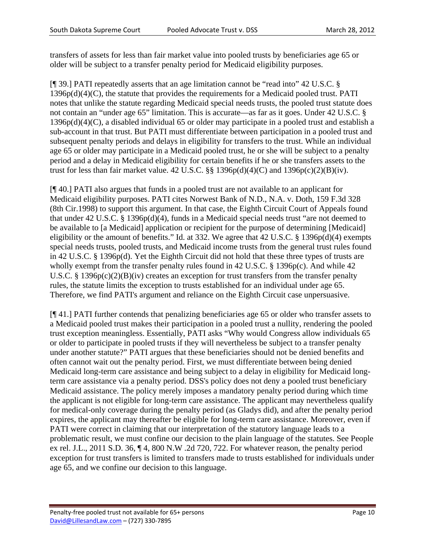transfers of assets for less than fair market value into pooled trusts by beneficiaries age 65 or older will be subject to a transfer penalty period for Medicaid eligibility purposes.

[¶ 39.] PATI repeatedly asserts that an age limitation cannot be "read into" 42 U.S.C. § 1396p(d)(4)(C), the statute that provides the requirements for a Medicaid pooled trust. PATI notes that unlike the statute regarding Medicaid special needs trusts, the pooled trust statute does not contain an "under age 65" limitation. This is accurate—as far as it goes. Under 42 U.S.C. § 1396p(d)(4)(C), a disabled individual 65 or older may participate in a pooled trust and establish a sub-account in that trust. But PATI must differentiate between participation in a pooled trust and subsequent penalty periods and delays in eligibility for transfers to the trust. While an individual age 65 or older may participate in a Medicaid pooled trust, he or she will be subject to a penalty period and a delay in Medicaid eligibility for certain benefits if he or she transfers assets to the trust for less than fair market value. 42 U.S.C.  $\S$ § 1396p(d)(4)(C) and 1396p(c)(2)(B)(iv).

[¶ 40.] PATI also argues that funds in a pooled trust are not available to an applicant for Medicaid eligibility purposes. PATI cites Norwest Bank of N.D., N.A. v. Doth, 159 F.3d 328 (8th Cir.1998) to support this argument. In that case, the Eighth Circuit Court of Appeals found that under 42 U.S.C. § 1396p(d)(4), funds in a Medicaid special needs trust "are not deemed to be available to [a Medicaid] application or recipient for the purpose of determining [Medicaid] eligibility or the amount of benefits." Id. at 332. We agree that 42 U.S.C. § 1396p(d)(4) exempts special needs trusts, pooled trusts, and Medicaid income trusts from the general trust rules found in 42 U.S.C. § 1396p(d). Yet the Eighth Circuit did not hold that these three types of trusts are wholly exempt from the transfer penalty rules found in 42 U.S.C. § 1396p(c). And while 42 U.S.C. § 1396 $p(c)(2)(B)(iv)$  creates an exception for trust transfers from the transfer penalty rules, the statute limits the exception to trusts established for an individual under age 65. Therefore, we find PATI's argument and reliance on the Eighth Circuit case unpersuasive.

[¶ 41.] PATI further contends that penalizing beneficiaries age 65 or older who transfer assets to a Medicaid pooled trust makes their participation in a pooled trust a nullity, rendering the pooled trust exception meaningless. Essentially, PATI asks "Why would Congress allow individuals 65 or older to participate in pooled trusts if they will nevertheless be subject to a transfer penalty under another statute?" PATI argues that these beneficiaries should not be denied benefits and often cannot wait out the penalty period. First, we must differentiate between being denied Medicaid long-term care assistance and being subject to a delay in eligibility for Medicaid longterm care assistance via a penalty period. DSS's policy does not deny a pooled trust beneficiary Medicaid assistance. The policy merely imposes a mandatory penalty period during which time the applicant is not eligible for long-term care assistance. The applicant may nevertheless qualify for medical-only coverage during the penalty period (as Gladys did), and after the penalty period expires, the applicant may thereafter be eligible for long-term care assistance. Moreover, even if PATI were correct in claiming that our interpretation of the statutory language leads to a problematic result, we must confine our decision to the plain language of the statutes. See People ex rel. J.L., 2011 S.D. 36, ¶ 4, 800 N.W .2d 720, 722. For whatever reason, the penalty period exception for trust transfers is limited to transfers made to trusts established for individuals under age 65, and we confine our decision to this language.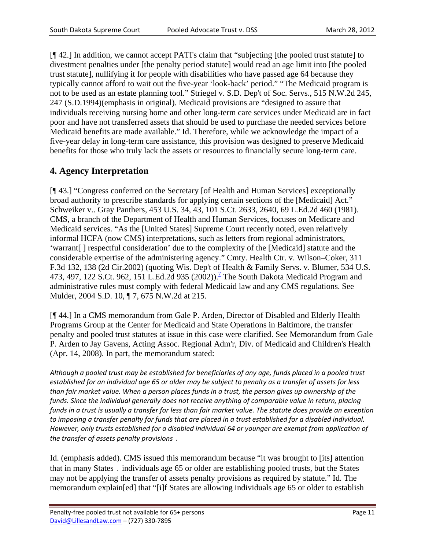[¶ 42.] In addition, we cannot accept PATI's claim that "subjecting [the pooled trust statute] to divestment penalties under [the penalty period statute] would read an age limit into [the pooled trust statute], nullifying it for people with disabilities who have passed age 64 because they typically cannot afford to wait out the five-year 'look-back' period." "The Medicaid program is not to be used as an estate planning tool." Striegel v. S.D. Dep't of Soc. Servs., 515 N.W.2d 245, 247 (S.D.1994)(emphasis in original). Medicaid provisions are "designed to assure that individuals receiving nursing home and other long-term care services under Medicaid are in fact poor and have not transferred assets that should be used to purchase the needed services before Medicaid benefits are made available." Id. Therefore, while we acknowledge the impact of a five-year delay in long-term care assistance, this provision was designed to preserve Medicaid benefits for those who truly lack the assets or resources to financially secure long-term care.

### **4. Agency Interpretation**

[¶ 43.] "Congress conferred on the Secretary [of Health and Human Services] exceptionally broad authority to prescribe standards for applying certain sections of the [Medicaid] Act." Schweiker v.. Gray Panthers, 453 U.S. 34, 43, 101 S.Ct. 2633, 2640, 69 L.Ed.2d 460 (1981). CMS, a branch of the Department of Health and Human Services, focuses on Medicare and Medicaid services. "As the [United States] Supreme Court recently noted, even relatively informal HCFA (now CMS) interpretations, such as letters from regional administrators, 'warrant[ ] respectful consideration' due to the complexity of the [Medicaid] statute and the considerable expertise of the administering agency." Cmty. Health Ctr. v. Wilson–Coker, 311 F.3d 132, 138 (2d Cir.2002) (quoting Wis. Dep't of Health & Family Servs. v. Blumer, 534 U.S. 473, 497, 122 S.Ct. 962, 151 L.Ed.2d 935 (2002)).<sup>7</sup> The South Dakota Medicaid Program and administrative rules must comply with federal Medicaid law and any CMS regulations. See Mulder, 2004 S.D. 10, ¶ 7, 675 N.W.2d at 215.

[¶ 44.] In a CMS memorandum from Gale P. Arden, Director of Disabled and Elderly Health Programs Group at the Center for Medicaid and State Operations in Baltimore, the transfer penalty and pooled trust statutes at issue in this case were clarified. See Memorandum from Gale P. Arden to Jay Gavens, Acting Assoc. Regional Adm'r, Div. of Medicaid and Children's Health (Apr. 14, 2008). In part, the memorandum stated:

Although a pooled trust may be established for beneficiaries of any age, funds placed in a pooled trust established for an individual age 65 or older may be subject to penalty as a transfer of assets for less than fair market value. When a person places funds in a trust, the person gives up ownership of the *funds. Since the individual generally does not receive anything of comparable value in return, placing* funds in a trust is usually a transfer for less than fair market value. The statute does provide an exception to imposing a transfer penalty for funds that are placed in a trust established for a disabled individual. *However, only trusts established for a disabled individual 64 or younger are exempt from application of the transfer of assets penalty provisions* ․

Id. (emphasis added). CMS issued this memorandum because "it was brought to [its] attention that in many States ․ individuals age 65 or older are establishing pooled trusts, but the States may not be applying the transfer of assets penalty provisions as required by statute." Id. The memorandum explain[ed] that "[i]f States are allowing individuals age 65 or older to establish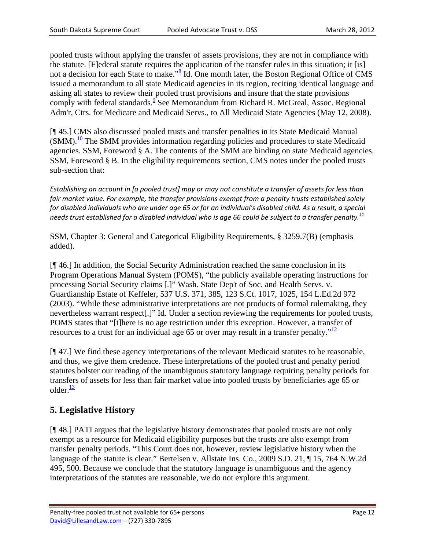pooled trusts without applying the transfer of assets provisions, they are not in compliance with the statute. [F]ederal statute requires the application of the transfer rules in this situation; it [is] not a decision for each State to make."<sup>8</sup> Id. One month later, the Boston Regional Office of CMS issued a memorandum to all state Medicaid agencies in its region, reciting identical language and asking all states to review their pooled trust provisions and insure that the state provisions comply with federal standards.  $9$  See Memorandum from Richard R. McGreal, Assoc. Regional Adm'r, Ctrs. for Medicare and Medicaid Servs., to All Medicaid State Agencies (May 12, 2008).

[¶ 45.] CMS also discussed pooled trusts and transfer penalties in its State Medicaid Manual  $(SMM).$ <sup>10</sup> The SMM provides information regarding policies and procedures to state Medicaid agencies. SSM, Foreword § A. The contents of the SMM are binding on state Medicaid agencies. SSM, Foreword § B. In the eligibility requirements section, CMS notes under the pooled trusts sub-section that:

Establishing an account in [a pooled trust] may or may not constitute a transfer of assets for less than *fair market value. For example, the transfer provisions exempt from a penalty trusts established solely* for disabled individuals who are under age 65 or for an individual's disabled child. As a result, a special needs trust established for a disabled individual who is age 66 could be subject to a transfer penalty. $\frac{11}{2}$ 

SSM, Chapter 3: General and Categorical Eligibility Requirements, § 3259.7(B) (emphasis added).

[¶ 46.] In addition, the Social Security Administration reached the same conclusion in its Program Operations Manual System (POMS), "the publicly available operating instructions for processing Social Security claims [.]" Wash. State Dep't of Soc. and Health Servs. v. Guardianship Estate of Keffeler, 537 U.S. 371, 385, 123 S.Ct. 1017, 1025, 154 L.Ed.2d 972 (2003). "While these administrative interpretations are not products of formal rulemaking, they nevertheless warrant respect[.]" Id. Under a section reviewing the requirements for pooled trusts, POMS states that "[t]here is no age restriction under this exception. However, a transfer of resources to a trust for an individual age 65 or over may result in a transfer penalty." $\frac{12}{12}$ 

[¶ 47.] We find these agency interpretations of the relevant Medicaid statutes to be reasonable, and thus, we give them credence. These interpretations of the pooled trust and penalty period statutes bolster our reading of the unambiguous statutory language requiring penalty periods for transfers of assets for less than fair market value into pooled trusts by beneficiaries age 65 or older. $\frac{13}{2}$ 

## **5. Legislative History**

[¶ 48.] PATI argues that the legislative history demonstrates that pooled trusts are not only exempt as a resource for Medicaid eligibility purposes but the trusts are also exempt from transfer penalty periods. "This Court does not, however, review legislative history when the language of the statute is clear." Bertelsen v. Allstate Ins. Co., 2009 S.D. 21, ¶ 15, 764 N.W.2d 495, 500. Because we conclude that the statutory language is unambiguous and the agency interpretations of the statutes are reasonable, we do not explore this argument.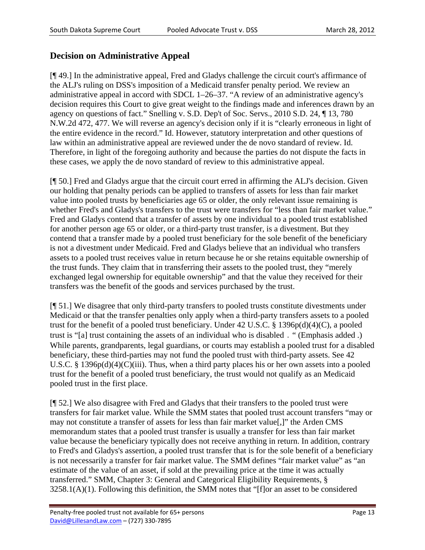### **Decision on Administrative Appeal**

[¶ 49.] In the administrative appeal, Fred and Gladys challenge the circuit court's affirmance of the ALJ's ruling on DSS's imposition of a Medicaid transfer penalty period. We review an administrative appeal in accord with SDCL 1–26–37. "A review of an administrative agency's decision requires this Court to give great weight to the findings made and inferences drawn by an agency on questions of fact." Snelling v. S.D. Dep't of Soc. Servs., 2010 S.D. 24, ¶ 13, 780 N.W.2d 472, 477. We will reverse an agency's decision only if it is "clearly erroneous in light of the entire evidence in the record." Id. However, statutory interpretation and other questions of law within an administrative appeal are reviewed under the de novo standard of review. Id. Therefore, in light of the foregoing authority and because the parties do not dispute the facts in these cases, we apply the de novo standard of review to this administrative appeal.

[¶ 50.] Fred and Gladys argue that the circuit court erred in affirming the ALJ's decision. Given our holding that penalty periods can be applied to transfers of assets for less than fair market value into pooled trusts by beneficiaries age 65 or older, the only relevant issue remaining is whether Fred's and Gladys's transfers to the trust were transfers for "less than fair market value." Fred and Gladys contend that a transfer of assets by one individual to a pooled trust established for another person age 65 or older, or a third-party trust transfer, is a divestment. But they contend that a transfer made by a pooled trust beneficiary for the sole benefit of the beneficiary is not a divestment under Medicaid. Fred and Gladys believe that an individual who transfers assets to a pooled trust receives value in return because he or she retains equitable ownership of the trust funds. They claim that in transferring their assets to the pooled trust, they "merely exchanged legal ownership for equitable ownership" and that the value they received for their transfers was the benefit of the goods and services purchased by the trust.

[¶ 51.] We disagree that only third-party transfers to pooled trusts constitute divestments under Medicaid or that the transfer penalties only apply when a third-party transfers assets to a pooled trust for the benefit of a pooled trust beneficiary. Under 42 U.S.C. § 1396p(d)(4)(C), a pooled trust is "[a] trust containing the assets of an individual who is disabled ․ " (Emphasis added .) While parents, grandparents, legal guardians, or courts may establish a pooled trust for a disabled beneficiary, these third-parties may not fund the pooled trust with third-party assets. See 42 U.S.C. § 1396p(d)(4)(C)(iii). Thus, when a third party places his or her own assets into a pooled trust for the benefit of a pooled trust beneficiary, the trust would not qualify as an Medicaid pooled trust in the first place.

[¶ 52.] We also disagree with Fred and Gladys that their transfers to the pooled trust were transfers for fair market value. While the SMM states that pooled trust account transfers "may or may not constitute a transfer of assets for less than fair market value[,]" the Arden CMS memorandum states that a pooled trust transfer is usually a transfer for less than fair market value because the beneficiary typically does not receive anything in return. In addition, contrary to Fred's and Gladys's assertion, a pooled trust transfer that is for the sole benefit of a beneficiary is not necessarily a transfer for fair market value. The SMM defines "fair market value" as "an estimate of the value of an asset, if sold at the prevailing price at the time it was actually transferred." SMM, Chapter 3: General and Categorical Eligibility Requirements, §  $3258.1(A)(1)$ . Following this definition, the SMM notes that "[f]or an asset to be considered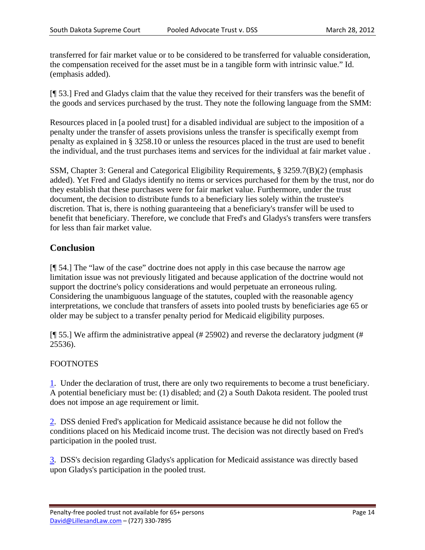transferred for fair market value or to be considered to be transferred for valuable consideration, the compensation received for the asset must be in a tangible form with intrinsic value." Id. (emphasis added).

[¶ 53.] Fred and Gladys claim that the value they received for their transfers was the benefit of the goods and services purchased by the trust. They note the following language from the SMM:

Resources placed in [a pooled trust] for a disabled individual are subject to the imposition of a penalty under the transfer of assets provisions unless the transfer is specifically exempt from penalty as explained in § 3258.10 or unless the resources placed in the trust are used to benefit the individual, and the trust purchases items and services for the individual at fair market value .

SSM, Chapter 3: General and Categorical Eligibility Requirements, § 3259.7(B)(2) (emphasis added). Yet Fred and Gladys identify no items or services purchased for them by the trust, nor do they establish that these purchases were for fair market value. Furthermore, under the trust document, the decision to distribute funds to a beneficiary lies solely within the trustee's discretion. That is, there is nothing guaranteeing that a beneficiary's transfer will be used to benefit that beneficiary. Therefore, we conclude that Fred's and Gladys's transfers were transfers for less than fair market value.

### **Conclusion**

[¶ 54.] The "law of the case" doctrine does not apply in this case because the narrow age limitation issue was not previously litigated and because application of the doctrine would not support the doctrine's policy considerations and would perpetuate an erroneous ruling. Considering the unambiguous language of the statutes, coupled with the reasonable agency interpretations, we conclude that transfers of assets into pooled trusts by beneficiaries age 65 or older may be subject to a transfer penalty period for Medicaid eligibility purposes.

[¶ 55.] We affirm the administrative appeal (# 25902) and reverse the declaratory judgment (# 25536).

#### FOOTNOTES

1. Under the declaration of trust, there are only two requirements to become a trust beneficiary. A potential beneficiary must be: (1) disabled; and (2) a South Dakota resident. The pooled trust does not impose an age requirement or limit.

2. DSS denied Fred's application for Medicaid assistance because he did not follow the conditions placed on his Medicaid income trust. The decision was not directly based on Fred's participation in the pooled trust.

3. DSS's decision regarding Gladys's application for Medicaid assistance was directly based upon Gladys's participation in the pooled trust.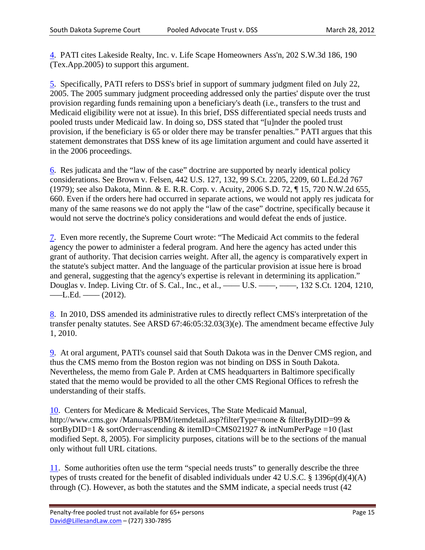4. PATI cites Lakeside Realty, Inc. v. Life Scape Homeowners Ass'n, 202 S.W.3d 186, 190 (Tex.App.2005) to support this argument.

5. Specifically, PATI refers to DSS's brief in support of summary judgment filed on July 22, 2005. The 2005 summary judgment proceeding addressed only the parties' dispute over the trust provision regarding funds remaining upon a beneficiary's death (i.e., transfers to the trust and Medicaid eligibility were not at issue). In this brief, DSS differentiated special needs trusts and pooled trusts under Medicaid law. In doing so, DSS stated that "[u]nder the pooled trust provision, if the beneficiary is 65 or older there may be transfer penalties." PATI argues that this statement demonstrates that DSS knew of its age limitation argument and could have asserted it in the 2006 proceedings.

6. Res judicata and the "law of the case" doctrine are supported by nearly identical policy considerations. See Brown v. Felsen, 442 U.S. 127, 132, 99 S.Ct. 2205, 2209, 60 L.Ed.2d 767 (1979); see also Dakota, Minn. & E. R.R. Corp. v. Acuity, 2006 S.D. 72, ¶ 15, 720 N.W.2d 655, 660. Even if the orders here had occurred in separate actions, we would not apply res judicata for many of the same reasons we do not apply the "law of the case" doctrine, specifically because it would not serve the doctrine's policy considerations and would defeat the ends of justice.

7. Even more recently, the Supreme Court wrote: "The Medicaid Act commits to the federal agency the power to administer a federal program. And here the agency has acted under this grant of authority. That decision carries weight. After all, the agency is comparatively expert in the statute's subject matter. And the language of the particular provision at issue here is broad and general, suggesting that the agency's expertise is relevant in determining its application." Douglas v. Indep. Living Ctr. of S. Cal., Inc., et al., —— U.S. ——, ——, 132 S.Ct. 1204, 1210,  $-L.Ed.$   $-$  (2012).

8. In 2010, DSS amended its administrative rules to directly reflect CMS's interpretation of the transfer penalty statutes. See ARSD 67:46:05:32.03(3)(e). The amendment became effective July 1, 2010.

9. At oral argument, PATI's counsel said that South Dakota was in the Denver CMS region, and thus the CMS memo from the Boston region was not binding on DSS in South Dakota. Nevertheless, the memo from Gale P. Arden at CMS headquarters in Baltimore specifically stated that the memo would be provided to all the other CMS Regional Offices to refresh the understanding of their staffs.

10. Centers for Medicare & Medicaid Services, The State Medicaid Manual, http://www.cms.gov/Manuals/PBM/itemdetail.asp?filterType=none & filterByDID=99 & sortByDID=1 & sortOrder=ascending & itemID=CMS021927 & intNumPerPage =10 (last modified Sept. 8, 2005). For simplicity purposes, citations will be to the sections of the manual only without full URL citations.

11. Some authorities often use the term "special needs trusts" to generally describe the three types of trusts created for the benefit of disabled individuals under 42 U.S.C. § 1396p(d)(4)(A) through (C). However, as both the statutes and the SMM indicate, a special needs trust (42